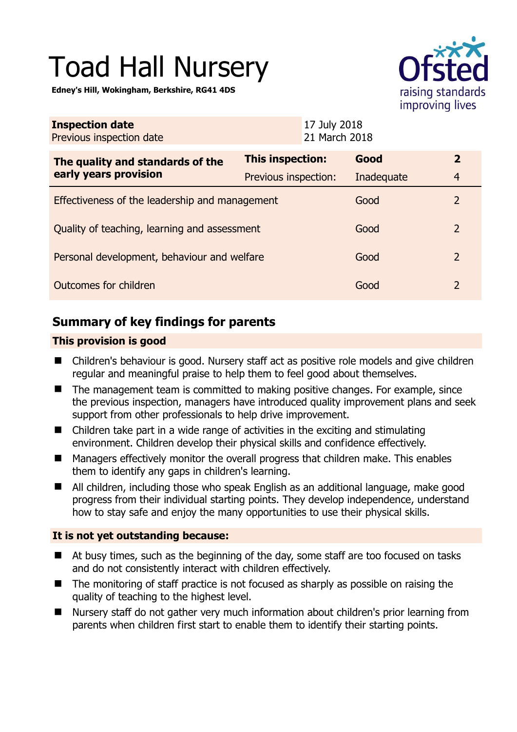# Toad Hall Nursery

**Edney's Hill, Wokingham, Berkshire, RG41 4DS** 



| <b>Inspection date</b><br>Previous inspection date        |                      | 17 July 2018<br>21 March 2018 |            |                |
|-----------------------------------------------------------|----------------------|-------------------------------|------------|----------------|
| The quality and standards of the<br>early years provision | This inspection:     |                               | Good       | $\mathbf{2}$   |
|                                                           | Previous inspection: |                               | Inadequate | $\overline{4}$ |
| Effectiveness of the leadership and management            |                      |                               | Good       | 2              |
| Quality of teaching, learning and assessment              |                      |                               | Good       | 2              |
| Personal development, behaviour and welfare               |                      |                               | Good       | 2              |
| Outcomes for children                                     |                      |                               | Good       | 2              |

# **Summary of key findings for parents**

## **This provision is good**

- Children's behaviour is good. Nursery staff act as positive role models and give children regular and meaningful praise to help them to feel good about themselves.
- The management team is committed to making positive changes. For example, since the previous inspection, managers have introduced quality improvement plans and seek support from other professionals to help drive improvement.
- Children take part in a wide range of activities in the exciting and stimulating environment. Children develop their physical skills and confidence effectively.
- Managers effectively monitor the overall progress that children make. This enables them to identify any gaps in children's learning.
- All children, including those who speak English as an additional language, make good progress from their individual starting points. They develop independence, understand how to stay safe and enjoy the many opportunities to use their physical skills.

## **It is not yet outstanding because:**

- At busy times, such as the beginning of the day, some staff are too focused on tasks and do not consistently interact with children effectively.
- The monitoring of staff practice is not focused as sharply as possible on raising the quality of teaching to the highest level.
- Nursery staff do not gather very much information about children's prior learning from parents when children first start to enable them to identify their starting points.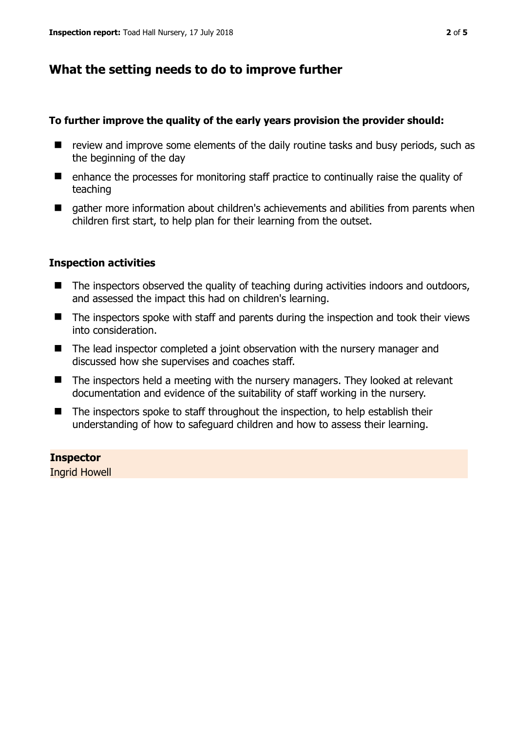# **What the setting needs to do to improve further**

#### **To further improve the quality of the early years provision the provider should:**

- $\blacksquare$  review and improve some elements of the daily routine tasks and busy periods, such as the beginning of the day
- enhance the processes for monitoring staff practice to continually raise the quality of teaching
- $\blacksquare$  gather more information about children's achievements and abilities from parents when children first start, to help plan for their learning from the outset.

## **Inspection activities**

- The inspectors observed the quality of teaching during activities indoors and outdoors, and assessed the impact this had on children's learning.
- The inspectors spoke with staff and parents during the inspection and took their views into consideration.
- The lead inspector completed a joint observation with the nursery manager and discussed how she supervises and coaches staff.
- $\blacksquare$  The inspectors held a meeting with the nursery managers. They looked at relevant documentation and evidence of the suitability of staff working in the nursery.
- $\blacksquare$  The inspectors spoke to staff throughout the inspection, to help establish their understanding of how to safeguard children and how to assess their learning.

# **Inspector**

Ingrid Howell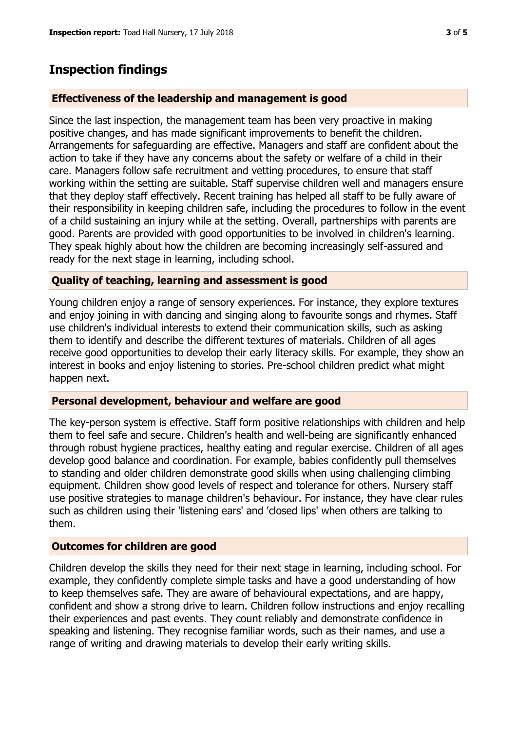## **Inspection findings**

#### **Effectiveness of the leadership and management is good**

Since the last inspection, the management team has been very proactive in making positive changes, and has made significant improvements to benefit the children. Arrangements for safeguarding are effective. Managers and staff are confident about the action to take if they have any concerns about the safety or welfare of a child in their care. Managers follow safe recruitment and vetting procedures, to ensure that staff working within the setting are suitable. Staff supervise children well and managers ensure that they deploy staff effectively. Recent training has helped all staff to be fully aware of their responsibility in keeping children safe, including the procedures to follow in the event of a child sustaining an injury while at the setting. Overall, partnerships with parents are good. Parents are provided with good opportunities to be involved in children's learning. They speak highly about how the children are becoming increasingly self-assured and ready for the next stage in learning, including school.

#### **Quality of teaching, learning and assessment is good**

Young children enjoy a range of sensory experiences. For instance, they explore textures and enjoy joining in with dancing and singing along to favourite songs and rhymes. Staff use children's individual interests to extend their communication skills, such as asking them to identify and describe the different textures of materials. Children of all ages receive good opportunities to develop their early literacy skills. For example, they show an interest in books and enjoy listening to stories. Pre-school children predict what might happen next.

#### **Personal development, behaviour and welfare are good**

The key-person system is effective. Staff form positive relationships with children and help them to feel safe and secure. Children's health and well-being are significantly enhanced through robust hygiene practices, healthy eating and regular exercise. Children of all ages develop good balance and coordination. For example, babies confidently pull themselves to standing and older children demonstrate good skills when using challenging climbing equipment. Children show good levels of respect and tolerance for others. Nursery staff use positive strategies to manage children's behaviour. For instance, they have clear rules such as children using their 'listening ears' and 'closed lips' when others are talking to them.

#### **Outcomes for children are good**

Children develop the skills they need for their next stage in learning, including school. For example, they confidently complete simple tasks and have a good understanding of how to keep themselves safe. They are aware of behavioural expectations, and are happy, confident and show a strong drive to learn. Children follow instructions and enjoy recalling their experiences and past events. They count reliably and demonstrate confidence in speaking and listening. They recognise familiar words, such as their names, and use a range of writing and drawing materials to develop their early writing skills.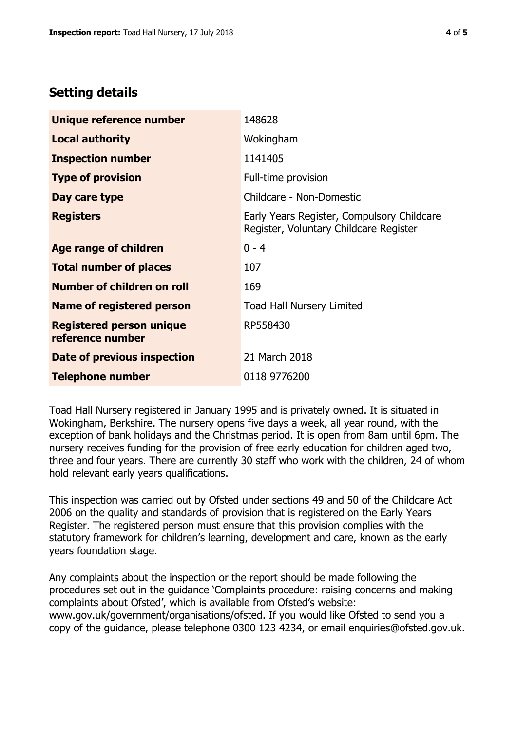# **Setting details**

| Unique reference number                             | 148628                                                                               |  |
|-----------------------------------------------------|--------------------------------------------------------------------------------------|--|
| <b>Local authority</b>                              | Wokingham                                                                            |  |
| <b>Inspection number</b>                            | 1141405                                                                              |  |
| <b>Type of provision</b>                            | Full-time provision                                                                  |  |
| Day care type                                       | Childcare - Non-Domestic                                                             |  |
| <b>Registers</b>                                    | Early Years Register, Compulsory Childcare<br>Register, Voluntary Childcare Register |  |
| Age range of children                               | $0 - 4$                                                                              |  |
| <b>Total number of places</b>                       | 107                                                                                  |  |
| Number of children on roll                          | 169                                                                                  |  |
| Name of registered person                           | <b>Toad Hall Nursery Limited</b>                                                     |  |
| <b>Registered person unique</b><br>reference number | RP558430                                                                             |  |
| <b>Date of previous inspection</b>                  | 21 March 2018                                                                        |  |
| <b>Telephone number</b>                             | 0118 9776200                                                                         |  |

Toad Hall Nursery registered in January 1995 and is privately owned. It is situated in Wokingham, Berkshire. The nursery opens five days a week, all year round, with the exception of bank holidays and the Christmas period. It is open from 8am until 6pm. The nursery receives funding for the provision of free early education for children aged two, three and four years. There are currently 30 staff who work with the children, 24 of whom hold relevant early years qualifications.

This inspection was carried out by Ofsted under sections 49 and 50 of the Childcare Act 2006 on the quality and standards of provision that is registered on the Early Years Register. The registered person must ensure that this provision complies with the statutory framework for children's learning, development and care, known as the early years foundation stage.

Any complaints about the inspection or the report should be made following the procedures set out in the guidance 'Complaints procedure: raising concerns and making complaints about Ofsted', which is available from Ofsted's website: www.gov.uk/government/organisations/ofsted. If you would like Ofsted to send you a copy of the guidance, please telephone 0300 123 4234, or email enquiries@ofsted.gov.uk.